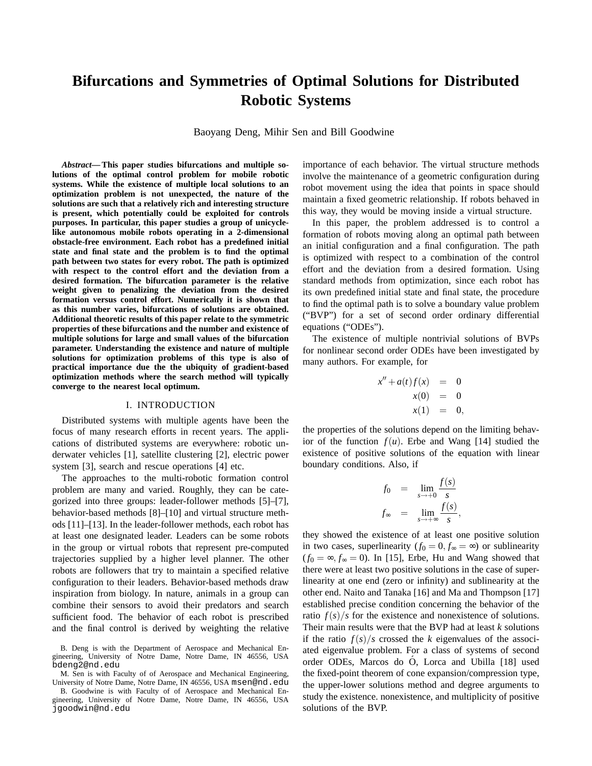# **Bifurcations and Symmetries of Optimal Solutions for Distributed Robotic Systems**

Baoyang Deng, Mihir Sen and Bill Goodwine

*Abstract***— This paper studies bifurcations and multiple solutions of the optimal control problem for mobile robotic systems. While the existence of multiple local solutions to an optimization problem is not unexpected, the nature of the solutions are such that a relatively rich and interesting structure is present, which potentially could be exploited for controls purposes. In particular, this paper studies a group of unicyclelike autonomous mobile robots operating in a 2-dimensional obstacle-free environment. Each robot has a predefined initial state and final state and the problem is to find the optimal path between two states for every robot. The path is optimized with respect to the control effort and the deviation from a desired formation. The bifurcation parameter is the relative weight given to penalizing the deviation from the desired formation versus control effort. Numerically it is shown that as this number varies, bifurcations of solutions are obtained. Additional theoretic results of this paper relate to the symmetric properties of these bifurcations and the number and existence of multiple solutions for large and small values of the bifurcation parameter. Understanding the existence and nature of multiple solutions for optimization problems of this type is also of practical importance due the the ubiquity of gradient-based optimization methods where the search method will typically converge to the nearest local optimum.**

### I. INTRODUCTION

Distributed systems with multiple agents have been the focus of many research efforts in recent years. The applications of distributed systems are everywhere: robotic underwater vehicles [1], satellite clustering [2], electric power system [3], search and rescue operations [4] etc.

The approaches to the multi-robotic formation control problem are many and varied. Roughly, they can be categorized into three groups: leader-follower methods [5]–[7], behavior-based methods [8]–[10] and virtual structure methods [11]–[13]. In the leader-follower methods, each robot has at least one designated leader. Leaders can be some robots in the group or virtual robots that represent pre-computed trajectories supplied by a higher level planner. The other robots are followers that try to maintain a specified relative configuration to their leaders. Behavior-based methods draw inspiration from biology. In nature, animals in a group can combine their sensors to avoid their predators and search sufficient food. The behavior of each robot is prescribed and the final control is derived by weighting the relative importance of each behavior. The virtual structure methods involve the maintenance of a geometric configuration during robot movement using the idea that points in space should maintain a fixed geometric relationship. If robots behaved in this way, they would be moving inside a virtual structure.

In this paper, the problem addressed is to control a formation of robots moving along an optimal path between an initial configuration and a final configuration. The path is optimized with respect to a combination of the control effort and the deviation from a desired formation. Using standard methods from optimization, since each robot has its own predefined initial state and final state, the procedure to find the optimal path is to solve a boundary value problem ("BVP") for a set of second order ordinary differential equations ("ODEs").

The existence of multiple nontrivial solutions of BVPs for nonlinear second order ODEs have been investigated by many authors. For example, for

*x*

$$
'' + a(t) f(x) = 0\nx(0) = 0\nx(1) = 0,
$$

the properties of the solutions depend on the limiting behavior of the function  $f(u)$ . Erbe and Wang [14] studied the existence of positive solutions of the equation with linear boundary conditions. Also, if

$$
f_0 = \lim_{s \to +0} \frac{f(s)}{s}
$$
  

$$
f_{\infty} = \lim_{s \to +\infty} \frac{f(s)}{s},
$$

they showed the existence of at least one positive solution in two cases, superlinearity  $(f_0 = 0, f_{\infty} = \infty)$  or sublinearity  $(f_0 = \infty, f_\infty = 0)$ . In [15], Erbe, Hu and Wang showed that there were at least two positive solutions in the case of superlinearity at one end (zero or infinity) and sublinearity at the other end. Naito and Tanaka [16] and Ma and Thompson [17] established precise condition concerning the behavior of the ratio  $f(s)/s$  for the existence and nonexistence of solutions. Their main results were that the BVP had at least *k* solutions if the ratio  $f(s)/s$  crossed the *k* eigenvalues of the associated eigenvalue problem. For a class of systems of second order ODEs, Marcos do O, Lorca and Ubilla [18] used ´ the fixed-point theorem of cone expansion/compression type, the upper-lower solutions method and degree arguments to study the existence. nonexistence, and multiplicity of positive solutions of the BVP.

B. Deng is with the Department of Aerospace and Mechanical Engineering, University of Notre Dame, Notre Dame, IN 46556, USA bdeng2@nd.edu

M. Sen is with Faculty of of Aerospace and Mechanical Engineering, University of Notre Dame, Notre Dame, IN 46556, USA msen@nd.edu

B. Goodwine is with Faculty of of Aerospace and Mechanical Engineering, University of Notre Dame, Notre Dame, IN 46556, USA jgoodwin@nd.edu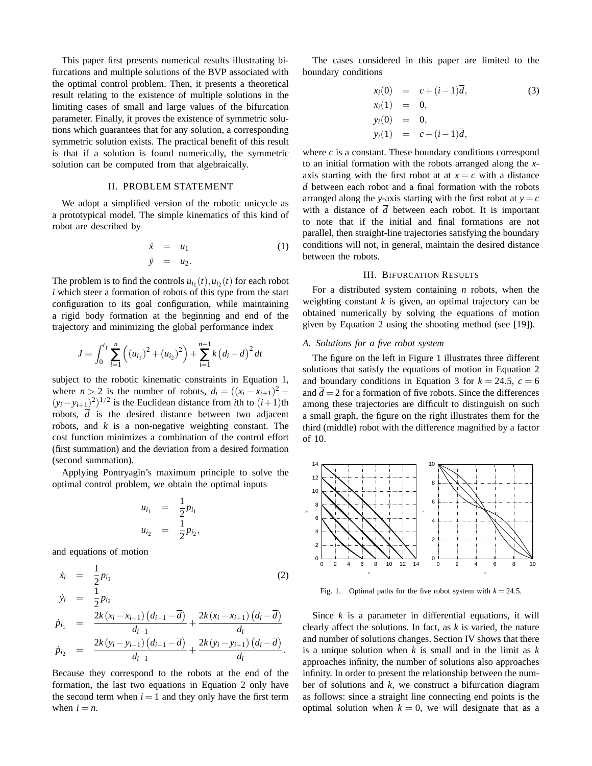This paper first presents numerical results illustrating bifurcations and multiple solutions of the BVP associated with the optimal control problem. Then, it presents a theoretical result relating to the existence of multiple solutions in the limiting cases of small and large values of the bifurcation parameter. Finally, it proves the existence of symmetric solutions which guarantees that for any solution, a corresponding symmetric solution exists. The practical benefit of this result is that if a solution is found numerically, the symmetric solution can be computed from that algebraically.

## II. PROBLEM STATEMENT

We adopt a simplified version of the robotic unicycle as a prototypical model. The simple kinematics of this kind of robot are described by

$$
\dot{x} = u_1 \tag{1}
$$
\n
$$
\dot{y} = u_2.
$$

The problem is to find the controls  $u_{i_1}(t)$ ,  $u_{i_2}(t)$  for each robot *i* which steer a formation of robots of this type from the start configuration to its goal configuration, while maintaining a rigid body formation at the beginning and end of the trajectory and minimizing the global performance index

$$
J = \int_0^{t_f} \sum_{i=1}^n \left( (u_{i_1})^2 + (u_{i_2})^2 \right) + \sum_{i=1}^{n-1} k \left( d_i - \overline{d} \right)^2 dt
$$

subject to the robotic kinematic constraints in Equation 1, where  $n > 2$  is the number of robots,  $d_i = ((x_i - x_{i+1})^2 +$  $(y_i - y_{i+1})^2$ <sup>1/2</sup> is the Euclidean distance from *i*th to  $(i+1)$ th robots, *d* is the desired distance between two adjacent robots, and *k* is a non-negative weighting constant. The cost function minimizes a combination of the control effort (first summation) and the deviation from a desired formation (second summation).

Applying Pontryagin's maximum principle to solve the optimal control problem, we obtain the optimal inputs

$$
u_{i_1} = \frac{1}{2} p_{i_1}
$$
  

$$
u_{i_2} = \frac{1}{2} p_{i_2},
$$

and equations of motion

$$
\dot{x}_i = \frac{1}{2} p_{i_1} \qquad (2)
$$
\n
$$
\dot{y}_i = \frac{1}{2} p_{i_2} \qquad (2)
$$
\n
$$
\dot{p}_{i_1} = \frac{2k(x_i - x_{i-1})(d_{i-1} - \overline{d})}{d_{i-1}} + \frac{2k(x_i - x_{i+1})(d_i - \overline{d})}{d_i} \qquad \dot{p}_{i_2} = \frac{2k(y_i - y_{i-1})(d_{i-1} - \overline{d})}{d_{i-1}} + \frac{2k(y_i - y_{i+1})(d_i - \overline{d})}{d_i}.
$$

Because they correspond to the robots at the end of the formation, the last two equations in Equation 2 only have the second term when  $i = 1$  and they only have the first term when  $i = n$ .

The cases considered in this paper are limited to the boundary conditions

$$
x_i(0) = c + (i - 1)\overline{d},
$$
  
\n
$$
x_i(1) = 0,
$$
  
\n
$$
y_i(0) = 0,
$$
  
\n
$$
y_i(1) = c + (i - 1)\overline{d},
$$
  
\n(3)

where *c* is a constant. These boundary conditions correspond to an initial formation with the robots arranged along the *x*axis starting with the first robot at at  $x = c$  with a distance  $\overline{d}$  between each robot and a final formation with the robots arranged along the *y*-axis starting with the first robot at  $y = c$ with a distance of  $\overline{d}$  between each robot. It is important to note that if the initial and final formations are not parallel, then straight-line trajectories satisfying the boundary conditions will not, in general, maintain the desired distance between the robots.

# III. BIFURCATION RESULTS

For a distributed system containing *n* robots, when the weighting constant *k* is given, an optimal trajectory can be obtained numerically by solving the equations of motion given by Equation 2 using the shooting method (see [19]).

## *A. Solutions for a five robot system*

The figure on the left in Figure 1 illustrates three different solutions that satisfy the equations of motion in Equation 2 and boundary conditions in Equation 3 for  $k = 24.5$ ,  $c = 6$ and  $\overline{d} = 2$  for a formation of five robots. Since the differences among these trajectories are difficult to distinguish on such a small graph, the figure on the right illustrates them for the third (middle) robot with the difference magnified by a factor of 10.



Fig. 1. Optimal paths for the five robot system with  $k = 24.5$ .

Since *k* is a parameter in differential equations, it will clearly affect the solutions. In fact, as *k* is varied, the nature and number of solutions changes. Section IV shows that there is a unique solution when *k* is small and in the limit as *k* approaches infinity, the number of solutions also approaches infinity. In order to present the relationship between the number of solutions and *k*, we construct a bifurcation diagram as follows: since a straight line connecting end points is the optimal solution when  $k = 0$ , we will designate that as a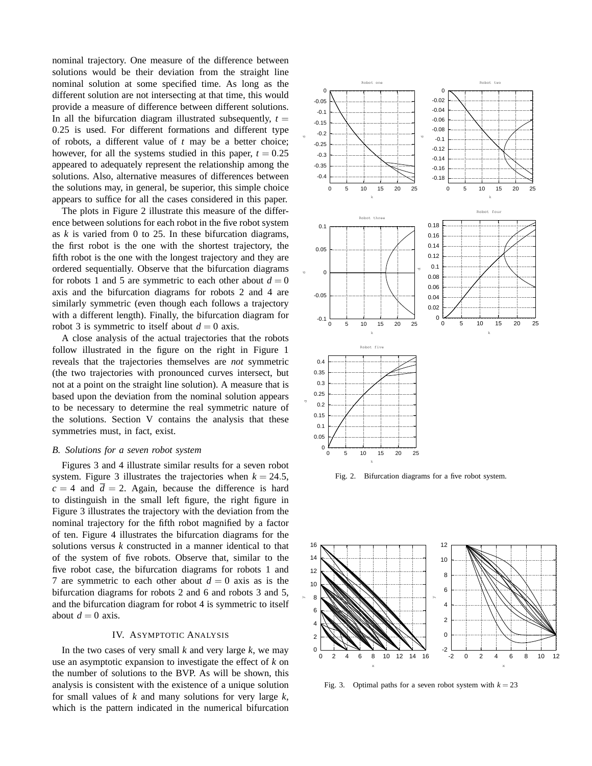nominal trajectory. One measure of the difference between solutions would be their deviation from the straight line nominal solution at some specified time. As long as the different solution are not intersecting at that time, this would provide a measure of difference between different solutions. In all the bifurcation diagram illustrated subsequently,  $t =$ 0.25 is used. For different formations and different type of robots, a different value of *t* may be a better choice; however, for all the systems studied in this paper,  $t = 0.25$ appeared to adequately represent the relationship among the solutions. Also, alternative measures of differences between the solutions may, in general, be superior, this simple choice appears to suffice for all the cases considered in this paper.

The plots in Figure 2 illustrate this measure of the difference between solutions for each robot in the five robot system as *k* is varied from 0 to 25. In these bifurcation diagrams, the first robot is the one with the shortest trajectory, the fifth robot is the one with the longest trajectory and they are ordered sequentially. Observe that the bifurcation diagrams for robots 1 and 5 are symmetric to each other about  $d = 0$ axis and the bifurcation diagrams for robots 2 and 4 are similarly symmetric (even though each follows a trajectory with a different length). Finally, the bifurcation diagram for robot 3 is symmetric to itself about  $d = 0$  axis.

A close analysis of the actual trajectories that the robots follow illustrated in the figure on the right in Figure 1 reveals that the trajectories themselves are *not* symmetric (the two trajectories with pronounced curves intersect, but not at a point on the straight line solution). A measure that is based upon the deviation from the nominal solution appears to be necessary to determine the real symmetric nature of the solutions. Section V contains the analysis that these symmetries must, in fact, exist.

#### *B. Solutions for a seven robot system*

Figures 3 and 4 illustrate similar results for a seven robot system. Figure 3 illustrates the trajectories when  $k = 24.5$ ,  $c = 4$  and  $\overline{d} = 2$ . Again, because the difference is hard to distinguish in the small left figure, the right figure in Figure 3 illustrates the trajectory with the deviation from the nominal trajectory for the fifth robot magnified by a factor of ten. Figure 4 illustrates the bifurcation diagrams for the solutions versus *k* constructed in a manner identical to that of the system of five robots. Observe that, similar to the five robot case, the bifurcation diagrams for robots 1 and 7 are symmetric to each other about  $d = 0$  axis as is the bifurcation diagrams for robots 2 and 6 and robots 3 and 5, and the bifurcation diagram for robot 4 is symmetric to itself about  $d = 0$  axis.

#### IV. ASYMPTOTIC ANALYSIS

In the two cases of very small *k* and very large *k*, we may use an asymptotic expansion to investigate the effect of *k* on the number of solutions to the BVP. As will be shown, this analysis is consistent with the existence of a unique solution for small values of *k* and many solutions for very large *k*, which is the pattern indicated in the numerical bifurcation



Fig. 2. Bifurcation diagrams for a five robot system.



Fig. 3. Optimal paths for a seven robot system with  $k = 23$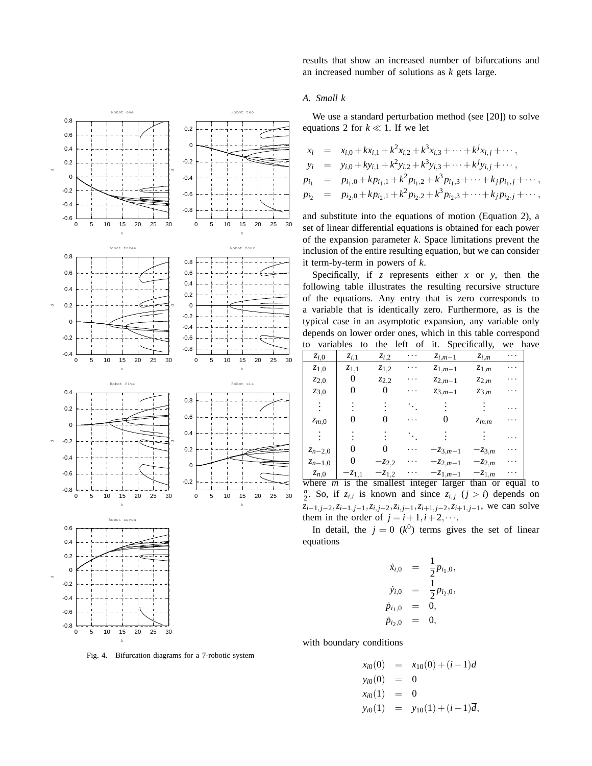

Fig. 4. Bifurcation diagrams for a 7-robotic system

k

results that show an increased number of bifurcations and an increased number of solutions as *k* gets large.

## *A. Small k*

We use a standard perturbation method (see [20]) to solve equations 2 for  $k \ll 1$ . If we let

$$
x_i = x_{i,0} + kx_{i,1} + k^2x_{i,2} + k^3x_{i,3} + \cdots + k^jx_{i,j} + \cdots,
$$
  
\n
$$
y_i = y_{i,0} + ky_{i,1} + k^2y_{i,2} + k^3y_{i,3} + \cdots + k^jy_{i,j} + \cdots,
$$
  
\n
$$
p_{i_1} = p_{i_1,0} + kp_{i_1,1} + k^2p_{i_1,2} + k^3p_{i_1,3} + \cdots + k_jp_{i_1,j} + \cdots,
$$
  
\n
$$
p_{i_2} = p_{i_2,0} + kp_{i_2,1} + k^2p_{i_2,2} + k^3p_{i_2,3} + \cdots + k_jp_{i_2,j} + \cdots,
$$

and substitute into the equations of motion (Equation 2), a set of linear differential equations is obtained for each power of the expansion parameter *k*. Space limitations prevent the inclusion of the entire resulting equation, but we can consider it term-by-term in powers of *k*.

Specifically, if *z* represents either *x* or *y*, then the following table illustrates the resulting recursive structure of the equations. Any entry that is zero corresponds to a variable that is identically zero. Furthermore, as is the typical case in an asymptotic expansion, any variable only depends on lower order ones, which in this table correspond to variables to the left of it. Specifically, we have

| $z_{i,0}$                 | $z_{i,1}$  | $z_{i,2}$  | . | $z_{i,m-1}$                     | $z_{i,m}$  | .     |
|---------------------------|------------|------------|---|---------------------------------|------------|-------|
| $z_{1,0}$                 | $z_{1,1}$  | $z_{1,2}$  |   | $z_{1,m-1}$                     | $z_{1,m}$  |       |
| $z_{2,0}$                 |            | $Z_{2,2}$  |   | $z_{2,m-1}$                     | $z_{2,m}$  |       |
| $z_{3,0}$                 |            |            | . | $z_{3,m-1}$                     | $z_{3,m}$  |       |
|                           |            |            |   |                                 |            | .     |
| $z_{m,0}$                 |            |            |   |                                 | $z_{m,m}$  |       |
|                           |            |            |   |                                 |            | .     |
| $z_{n-2,0}$               |            |            |   | $-z_{3,m-1}$                    | $-z_{3,m}$ |       |
| $z_{n-1,0}$               | 0          | $-z_{2,2}$ |   | $-z_{2,m-1}$                    | $-z_{2,m}$ | .     |
| $z_{n,0}$                 | $-z_{1,1}$ | $-z_{1,2}$ |   | $-z_{1,m-1}$                    | $-z_{1,m}$ | .     |
| where<br>$\boldsymbol{m}$ | the<br>1S  |            |   | smallest integer larger than or |            | equal |

 $\frac{n}{2}$ . So, if *z*<sub>*i*,*i*</sub> is known and since *z*<sub>*i*,*j*</sub> (*j* > *i*) depends on *zi*−1, *<sup>j</sup>*−2,*zi*−1, *<sup>j</sup>*−1,*zi*, *<sup>j</sup>*−2,*zi*, *<sup>j</sup>*−1,*zi*+1, *<sup>j</sup>*−2,*zi*+1, *<sup>j</sup>*−1, we can solve them in the order of  $j = i + 1, i + 2, \cdots$ .

In detail, the  $j = 0$  ( $k^0$ ) terms gives the set of linear equations

$$
\dot{x}_{i,0} = \frac{1}{2} p_{i_1,0}, \n\dot{y}_{i,0} = \frac{1}{2} p_{i_2,0}, \n\dot{p}_{i_1,0} = 0, \n\dot{p}_{i_2,0} = 0,
$$

with boundary conditions

$$
x_{i0}(0) = x_{10}(0) + (i - 1)\overline{d}
$$
  
\n
$$
y_{i0}(0) = 0
$$
  
\n
$$
x_{i0}(1) = 0
$$
  
\n
$$
y_{i0}(1) = y_{10}(1) + (i - 1)\overline{d}
$$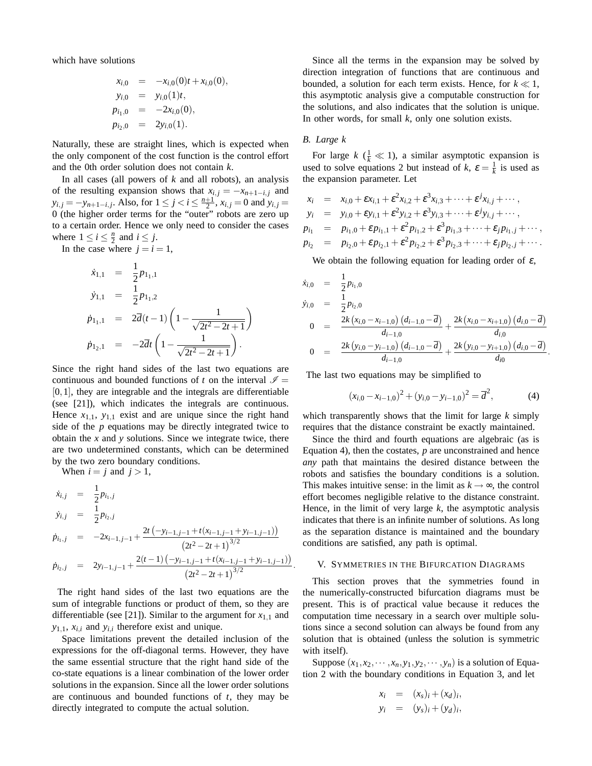which have solutions

$$
x_{i,0} = -x_{i,0}(0)t + x_{i,0}(0),
$$
  
\n
$$
y_{i,0} = y_{i,0}(1)t,
$$
  
\n
$$
p_{i_1,0} = -2x_{i,0}(0),
$$
  
\n
$$
p_{i_2,0} = 2y_{i,0}(1).
$$

Naturally, these are straight lines, which is expected when the only component of the cost function is the control effort and the 0th order solution does not contain *k*.

In all cases (all powers of *k* and all robots), an analysis of the resulting expansion shows that  $x_{i,j} = -x_{n+1-i,j}$  and  $y_{i,j} = -y_{n+1-i,j}$ . Also, for  $1 \le j < i \le \frac{n+1}{2}$ ,  $x_{i,j} = 0$  and  $y_{i,j} = 0$ 0 (the higher order terms for the "outer" robots are zero up to a certain order. Hence we only need to consider the cases where  $1 \le i \le \frac{n}{2}$  and  $i \le j$ .

In the case where  $j = i = 1$ ,

$$
\dot{x}_{1,1} = \frac{1}{2} p_{1_1,1}
$$
\n
$$
\dot{y}_{1,1} = \frac{1}{2} p_{1_1,2}
$$
\n
$$
\dot{p}_{1_1,1} = 2\overline{d}(t-1) \left( 1 - \frac{1}{\sqrt{2t^2 - 2t + 1}} \right)
$$
\n
$$
\dot{p}_{1_2,1} = -2\overline{d}t \left( 1 - \frac{1}{\sqrt{2t^2 - 2t + 1}} \right).
$$

Since the right hand sides of the last two equations are continuous and bounded functions of *t* on the interval  $\mathcal{I} =$ [0,1], they are integrable and the integrals are differentiable (see [21]), which indicates the integrals are continuous. Hence  $x_{1,1}$ ,  $y_{1,1}$  exist and are unique since the right hand side of the *p* equations may be directly integrated twice to obtain the *x* and *y* solutions. Since we integrate twice, there are two undetermined constants, which can be determined by the two zero boundary conditions.

When  $i = j$  and  $j > 1$ ,

$$
\dot{x}_{i,j} = \frac{1}{2} p_{i_1,j}
$$
\n
$$
\dot{y}_{i,j} = \frac{1}{2} p_{i_2,j}
$$
\n
$$
\dot{p}_{i_1,j} = -2x_{i-1,j-1} + \frac{2t(-y_{i-1,j-1} + t(x_{i-1,j-1} + y_{i-1,j-1}))}{(2t^2 - 2t + 1)^{3/2}}
$$
\n
$$
\dot{p}_{i_2,j} = 2y_{i-1,j-1} + \frac{2(t-1)(-y_{i-1,j-1} + t(x_{i-1,j-1} + y_{i-1,j-1}))}{(2t^2 - 2t + 1)^{3/2}}.
$$

The right hand sides of the last two equations are the sum of integrable functions or product of them, so they are differentiable (see [21]). Similar to the argument for  $x_{1,1}$  and  $y_{1,1}$ ,  $x_{i,i}$  and  $y_{i,i}$  therefore exist and unique.

Space limitations prevent the detailed inclusion of the expressions for the off-diagonal terms. However, they have the same essential structure that the right hand side of the co-state equations is a linear combination of the lower order solutions in the expansion. Since all the lower order solutions are continuous and bounded functions of *t*, they may be directly integrated to compute the actual solution.

Since all the terms in the expansion may be solved by direction integration of functions that are continuous and bounded, a solution for each term exists. Hence, for  $k \ll 1$ , this asymptotic analysis give a computable construction for the solutions, and also indicates that the solution is unique. In other words, for small *k*, only one solution exists.

### *B. Large k*

For large  $k$  ( $\frac{1}{k} \ll 1$ ), a similar asymptotic expansion is used to solve equations 2 but instead of  $k$ ,  $\varepsilon = \frac{1}{k}$  is used as the expansion parameter. Let

$$
x_i = x_{i,0} + \varepsilon x_{i,1} + \varepsilon^2 x_{i,2} + \varepsilon^3 x_{i,3} + \cdots + \varepsilon^j x_{i,j} + \cdots,
$$
  
\n
$$
y_i = y_{i,0} + \varepsilon y_{i,1} + \varepsilon^2 y_{i,2} + \varepsilon^3 y_{i,3} + \cdots + \varepsilon^j y_{i,j} + \cdots,
$$
  
\n
$$
p_{i_1} = p_{i_1,0} + \varepsilon p_{i_1,1} + \varepsilon^2 p_{i_1,2} + \varepsilon^3 p_{i_1,3} + \cdots + \varepsilon_j p_{i_1,j} + \cdots,
$$
  
\n
$$
p_{i_2} = p_{i_2,0} + \varepsilon p_{i_2,1} + \varepsilon^2 p_{i_2,2} + \varepsilon^3 p_{i_2,3} + \cdots + \varepsilon_j p_{i_2,j} + \cdots.
$$

We obtain the following equation for leading order of  $\varepsilon$ ,

$$
\dot{x}_{i,0} = \frac{1}{2} p_{i_1,0}
$$
\n
$$
\dot{y}_{i,0} = \frac{1}{2} p_{i_2,0}
$$
\n
$$
0 = \frac{2k (x_{i,0} - x_{i-1,0}) (d_{i-1,0} - \overline{d})}{d_{i-1,0}} + \frac{2k (x_{i,0} - x_{i+1,0}) (d_{i,0} - \overline{d})}{d_{i,0}}
$$
\n
$$
0 = \frac{2k (y_{i,0} - y_{i-1,0}) (d_{i-1,0} - \overline{d})}{d_{i-1,0}} + \frac{2k (y_{i,0} - y_{i+1,0}) (d_{i,0} - \overline{d})}{d_{i0}}
$$

The last two equations may be simplified to

$$
(x_{i,0} - x_{i-1,0})^2 + (y_{i,0} - y_{i-1,0})^2 = \overline{d}^2,
$$
 (4)

.

which transparently shows that the limit for large *k* simply requires that the distance constraint be exactly maintained.

Since the third and fourth equations are algebraic (as is Equation 4), then the costates, *p* are unconstrained and hence *any* path that maintains the desired distance between the robots and satisfies the boundary conditions is a solution. This makes intuitive sense: in the limit as  $k \rightarrow \infty$ , the control effort becomes negligible relative to the distance constraint. Hence, in the limit of very large  $k$ , the asymptotic analysis indicates that there is an infinite number of solutions. As long as the separation distance is maintained and the boundary conditions are satisfied, any path is optimal.

## V. SYMMETRIES IN THE BIFURCATION DIAGRAMS

This section proves that the symmetries found in the numerically-constructed bifurcation diagrams must be present. This is of practical value because it reduces the computation time necessary in a search over multiple solutions since a second solution can always be found from any solution that is obtained (unless the solution is symmetric with itself).

Suppose  $(x_1, x_2, \dots, x_n, y_1, y_2, \dots, y_n)$  is a solution of Equation 2 with the boundary conditions in Equation 3, and let

$$
x_i = (x_s)_i + (x_d)_i,
$$
  
\n
$$
y_i = (y_s)_i + (y_d)_i,
$$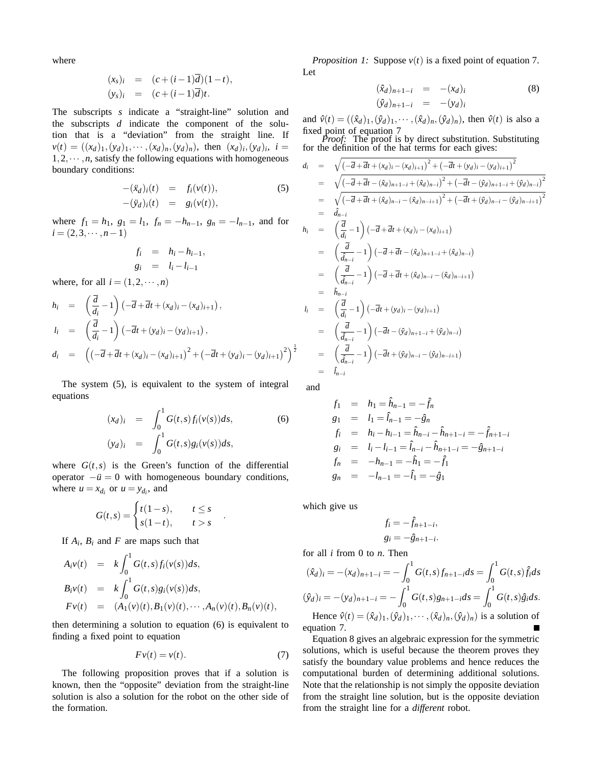where

$$
(xs)i = (c+(i-1)\overline{d})(1-t),
$$
  
\n
$$
(ys)i = (c+(i-1)\overline{d})t.
$$

The subscripts *s* indicate a "straight-line" solution and the subscripts *d* indicate the component of the solution that is a "deviation" from the straight line. If  $v(t) = ((x_d)_1, (y_d)_1, \cdots, (x_d)_n, (y_d)_n)$ , then  $(x_d)_i, (y_d)_i$ ,  $i =$  $1, 2, \dots, n$ , satisfy the following equations with homogeneous boundary conditions:

$$
-(\ddot{x}_d)_i(t) = f_i(v(t)),
$$
  
\n
$$
-(\ddot{y}_d)_i(t) = g_i(v(t)),
$$
\n(5)

where  $f_1 = h_1$ ,  $g_1 = l_1$ ,  $f_n = -h_{n-1}$ ,  $g_n = -l_{n-1}$ , and for  $i = (2,3,\dots, n-1)$ 

$$
f_i = h_i - h_{i-1},
$$
  
\n
$$
g_i = l_i - l_{i-1}
$$

where, for all  $i = (1, 2, \dots, n)$ 

$$
h_i = \left(\frac{d}{d_i} - 1\right) \left(-\overline{d} + \overline{d}t + (x_d)_i - (x_d)_{i+1}\right),
$$
  
\n
$$
l_i = \left(\frac{\overline{d}}{d_i} - 1\right) \left(-\overline{d}t + (y_d)_i - (y_d)_{i+1}\right),
$$
  
\n
$$
d_i = \left(\left(-\overline{d} + \overline{d}t + (x_d)_i - (x_d)_{i+1}\right)^2 + \left(-\overline{d}t + (y_d)_i - (y_d)_{i+1}\right)^2\right)^{\frac{1}{2}}
$$

The system (5), is equivalent to the system of integral equations

$$
(x_d)_i = \int_0^1 G(t,s) f_i(v(s)) ds,
$$
  
\n
$$
(y_d)_i = \int_0^1 G(t,s) g_i(v(s)) ds,
$$
\n(6)

where  $G(t, s)$  is the Green's function of the differential operator  $-\ddot{u} = 0$  with homogeneous boundary conditions, where  $u = x_{d_i}$  or  $u = y_{d_i}$ , and

$$
G(t,s) = \begin{cases} t(1-s), & t \le s \\ s(1-t), & t > s \end{cases}
$$

If  $A_i$ ,  $B_i$  and  $F$  are maps such that

$$
A_i v(t) = k \int_0^1 G(t,s) f_i(v(s)) ds,
$$
  
\n
$$
B_i v(t) = k \int_0^1 G(t,s) g_i(v(s)) ds,
$$
  
\n
$$
Fv(t) = (A_1(v)(t), B_1(v)(t), \cdots, A_n(v)(t), B_n(v)(t),
$$

then determining a solution to equation (6) is equivalent to finding a fixed point to equation

$$
Fv(t) = v(t). \tag{7}
$$

.

The following proposition proves that if a solution is known, then the "opposite" deviation from the straight-line solution is also a solution for the robot on the other side of the formation.

*Proposition 1:* Suppose  $v(t)$  is a fixed point of equation 7. Let

$$
(\hat{x}_d)_{n+1-i} = -(x_d)_i
$$
  
\n
$$
(\hat{y}_d)_{n+1-i} = -(y_d)_i
$$
 (8)

and  $\hat{v}(t) = ((\hat{x}_d)_1, (\hat{y}_d)_1, \cdots, (\hat{x}_d)_n, (\hat{y}_d)_n)$ , then  $\hat{v}(t)$  is also a fixed point of equation 7

*Proof:* The proof is by direct substitution. Substituting for the definition of the hat terms for each gives:

$$
d_{i} = \sqrt{(-\overline{d} + \overline{d}t + (x_{d})i - (x_{d})i_{+1})^{2} + (-\overline{d}t + (y_{d})i - (y_{d})i_{+1})^{2}}
$$
\n
$$
= \sqrt{(-\overline{d} + \overline{d}t - (\hat{x}_{d})_{n+1-i} + (\hat{x}_{d})_{n-i})^{2} + (-\overline{d}t - (\hat{y}_{d})_{n+1-i} + (\hat{y}_{d})_{n-i})^{2}}
$$
\n
$$
= \sqrt{(-\overline{d} + \overline{d}t + (\hat{x}_{d})_{n-i} - (\hat{x}_{d})_{n-i+1})^{2} + (-\overline{d}t + (\hat{y}_{d})_{n-i} - (\hat{y}_{d})_{n-i+1})^{2}}
$$
\n
$$
= \hat{d}_{n-i}
$$
\n
$$
h_{i} = (\frac{\overline{d}}{d_{i}} - 1)(-\overline{d} + \overline{d}t + (x_{d})i - (x_{d})i_{+1})
$$
\n
$$
= (\frac{\overline{d}}{\hat{d}_{n-i}} - 1)(-\overline{d} + \overline{d}t - (\hat{x}_{d})_{n+1-i} + (\hat{x}_{d})_{n-i})
$$
\n
$$
= (\frac{\overline{d}}{\hat{d}_{n-i}} - 1)(-\overline{d} + \overline{d}t + (\hat{x}_{d})_{n-i} - (\hat{x}_{d})_{n-i+1})
$$
\n
$$
= \hat{h}_{n-i}
$$
\n
$$
l_{i} = (\frac{\overline{d}}{d_{i}} - 1)(-\overline{d}t + (y_{d})i - (y_{d})i_{+1})
$$
\n
$$
= (\frac{\overline{d}}{\hat{d}_{n-i}} - 1)(-\overline{d}t - (\hat{y}_{d})_{n+1-i} + (\hat{y}_{d})_{n-i})
$$
\n
$$
= (\frac{\overline{d}}{\hat{d}_{n-i}} - 1)(-\overline{d}t + (\hat{y}_{d})_{n-i} - (\hat{y}_{d})_{n-i+1})
$$
\n
$$
= \hat{h}_{n-i}
$$

and

$$
f_1 = h_1 = \hat{h}_{n-1} = -\hat{f}_n
$$
  
\n
$$
g_1 = l_1 = \hat{l}_{n-1} = -\hat{g}_n
$$
  
\n
$$
f_i = h_i - h_{i-1} = \hat{h}_{n-i} - \hat{h}_{n+1-i} = -\hat{f}_{n+1-i}
$$
  
\n
$$
g_i = l_i - l_{i-1} = \hat{l}_{n-i} - \hat{h}_{n+1-i} = -\hat{g}_{n+1-i}
$$
  
\n
$$
f_n = -h_{n-1} = -\hat{h}_1 = -\hat{f}_1
$$
  
\n
$$
g_n = -l_{n-1} = -\hat{l}_1 = -\hat{g}_1
$$

which give us

$$
f_i = -\hat{f}_{n+1-i},
$$
  

$$
g_i = -\hat{g}_{n+1-i}.
$$

for all *i* from 0 to *n*. Then

$$
(\hat{x}_d)_i = -(x_d)_{n+1-i} = -\int_0^1 G(t,s)f_{n+1-i}ds = \int_0^1 G(t,s)\hat{f}_i ds
$$
  

$$
(\hat{y}_d)_i = -(y_d)_{n+1-i} = -\int_0^1 G(t,s)g_{n+1-i}ds = \int_0^1 G(t,s)\hat{g}_i ds.
$$

Hence  $\hat{v}(t) = (\hat{x}_d)_1, (\hat{y}_d)_1, \cdots, (\hat{x}_d)_n, (\hat{y}_d)_n$  is a solution of equation 7.

Equation 8 gives an algebraic expression for the symmetric solutions, which is useful because the theorem proves they satisfy the boundary value problems and hence reduces the computational burden of determining additional solutions. Note that the relationship is not simply the opposite deviation from the straight line solution, but is the opposite deviation from the straight line for a *different* robot.